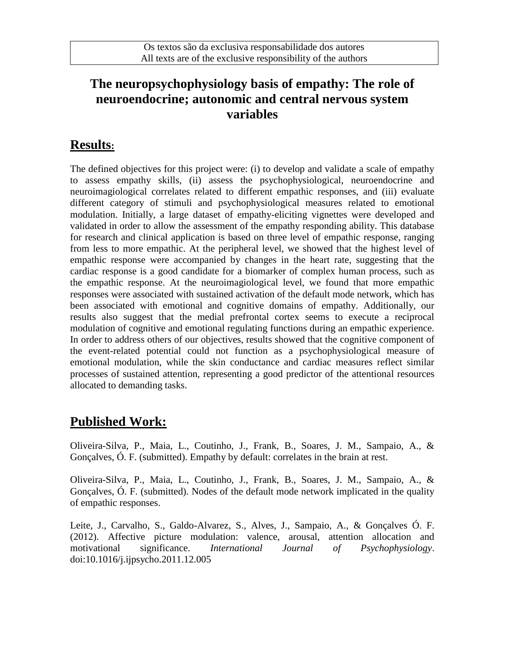#### **The neuropsychophysiology basis of empathy: The role of neuroendocrine; autonomic and central nervous system variables**

#### **Results:**

The defined objectives for this project were: (i) to develop and validate a scale of empathy to assess empathy skills, (ii) assess the psychophysiological, neuroendocrine and neuroimagiological correlates related to different empathic responses, and (iii) evaluate different category of stimuli and psychophysiological measures related to emotional modulation. Initially, a large dataset of empathy-eliciting vignettes were developed and validated in order to allow the assessment of the empathy responding ability. This database for research and clinical application is based on three level of empathic response, ranging from less to more empathic. At the peripheral level, we showed that the highest level of empathic response were accompanied by changes in the heart rate, suggesting that the cardiac response is a good candidate for a biomarker of complex human process, such as the empathic response. At the neuroimagiological level, we found that more empathic responses were associated with sustained activation of the default mode network, which has been associated with emotional and cognitive domains of empathy. Additionally, our results also suggest that the medial prefrontal cortex seems to execute a reciprocal modulation of cognitive and emotional regulating functions during an empathic experience. In order to address others of our objectives, results showed that the cognitive component of the event-related potential could not function as a psychophysiological measure of emotional modulation, while the skin conductance and cardiac measures reflect similar processes of sustained attention, representing a good predictor of the attentional resources allocated to demanding tasks.

## **Published Work:**

Oliveira-Silva, P., Maia, L., Coutinho, J., Frank, B., Soares, J. M., Sampaio, A., & Gonçalves, Ó. F. (submitted). Empathy by default: correlates in the brain at rest.

Oliveira-Silva, P., Maia, L., Coutinho, J., Frank, B., Soares, J. M., Sampaio, A., & Gonçalves, Ó. F. (submitted). Nodes of the default mode network implicated in the quality of empathic responses.

Leite, J., Carvalho, S., Galdo-Alvarez, S., Alves, J., Sampaio, A., & Gonçalves Ó. F. (2012). Affective picture modulation: valence, arousal, attention allocation and motivational significance. *International Journal of Psychophysiology*. doi:10.1016/j.ijpsycho.2011.12.005